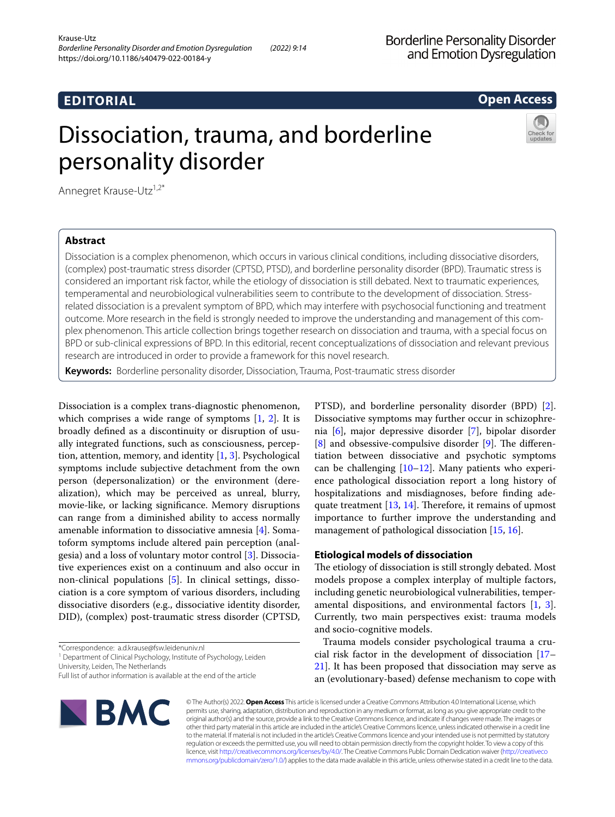# **EDITORIAL**

# **Open Access**

# Dissociation, trauma, and borderline personality disorder



Annegret Krause-Utz<sup>1,2\*</sup>

## **Abstract**

Dissociation is a complex phenomenon, which occurs in various clinical conditions, including dissociative disorders, (complex) post-traumatic stress disorder (CPTSD, PTSD), and borderline personality disorder (BPD). Traumatic stress is considered an important risk factor, while the etiology of dissociation is still debated. Next to traumatic experiences, temperamental and neurobiological vulnerabilities seem to contribute to the development of dissociation. Stressrelated dissociation is a prevalent symptom of BPD, which may interfere with psychosocial functioning and treatment outcome. More research in the field is strongly needed to improve the understanding and management of this complex phenomenon. This article collection brings together research on dissociation and trauma, with a special focus on BPD or sub-clinical expressions of BPD. In this editorial, recent conceptualizations of dissociation and relevant previous research are introduced in order to provide a framework for this novel research.

**Keywords:** Borderline personality disorder, Dissociation, Trauma, Post-traumatic stress disorder

Dissociation is a complex trans-diagnostic phenomenon, which comprises a wide range of symptoms  $[1, 2]$  $[1, 2]$  $[1, 2]$ . It is broadly defned as a discontinuity or disruption of usually integrated functions, such as consciousness, perception, attention, memory, and identity [[1,](#page-3-0) [3](#page-3-2)]. Psychological symptoms include subjective detachment from the own person (depersonalization) or the environment (derealization), which may be perceived as unreal, blurry, movie-like, or lacking signifcance. Memory disruptions can range from a diminished ability to access normally amenable information to dissociative amnesia [[4\]](#page-3-3). Somatoform symptoms include altered pain perception (analgesia) and a loss of voluntary motor control [[3\]](#page-3-2). Dissociative experiences exist on a continuum and also occur in non-clinical populations [\[5\]](#page-3-4). In clinical settings, dissociation is a core symptom of various disorders, including dissociative disorders (e.g., dissociative identity disorder, DID), (complex) post-traumatic stress disorder (CPTSD,

<sup>1</sup> Department of Clinical Psychology, Institute of Psychology, Leiden

University, Leiden, The Netherlands

Full list of author information is available at the end of the article



PTSD), and borderline personality disorder (BPD) [\[2](#page-3-1)]. Dissociative symptoms may further occur in schizophrenia [[6\]](#page-3-5), major depressive disorder [\[7](#page-3-6)], bipolar disorder  $[8]$  $[8]$  and obsessive-compulsive disorder  $[9]$  $[9]$  $[9]$ . The differentiation between dissociative and psychotic symptoms can be challenging [\[10–](#page-3-9)[12\]](#page-3-10). Many patients who experience pathological dissociation report a long history of hospitalizations and misdiagnoses, before fnding adequate treatment  $[13, 14]$  $[13, 14]$  $[13, 14]$ . Therefore, it remains of upmost importance to further improve the understanding and management of pathological dissociation [\[15](#page-3-13), [16\]](#page-3-14).

## **Etiological models of dissociation**

The etiology of dissociation is still strongly debated. Most models propose a complex interplay of multiple factors, including genetic neurobiological vulnerabilities, temperamental dispositions, and environmental factors [[1,](#page-3-0) [3](#page-3-2)]. Currently, two main perspectives exist: trauma models and socio-cognitive models.

Trauma models consider psychological trauma a crucial risk factor in the development of dissociation [[17–](#page-3-15) [21\]](#page-3-16). It has been proposed that dissociation may serve as an (evolutionary-based) defense mechanism to cope with

© The Author(s) 2022. **Open Access** This article is licensed under a Creative Commons Attribution 4.0 International License, which permits use, sharing, adaptation, distribution and reproduction in any medium or format, as long as you give appropriate credit to the original author(s) and the source, provide a link to the Creative Commons licence, and indicate if changes were made. The images or other third party material in this article are included in the article's Creative Commons licence, unless indicated otherwise in a credit line to the material. If material is not included in the article's Creative Commons licence and your intended use is not permitted by statutory regulation or exceeds the permitted use, you will need to obtain permission directly from the copyright holder. To view a copy of this licence, visit [http://creativecommons.org/licenses/by/4.0/.](http://creativecommons.org/licenses/by/4.0/) The Creative Commons Public Domain Dedication waiver ([http://creativeco](http://creativecommons.org/publicdomain/zero/1.0/) [mmons.org/publicdomain/zero/1.0/](http://creativecommons.org/publicdomain/zero/1.0/)) applies to the data made available in this article, unless otherwise stated in a credit line to the data.

<sup>\*</sup>Correspondence: a.d.krause@fsw.leidenuniv.nl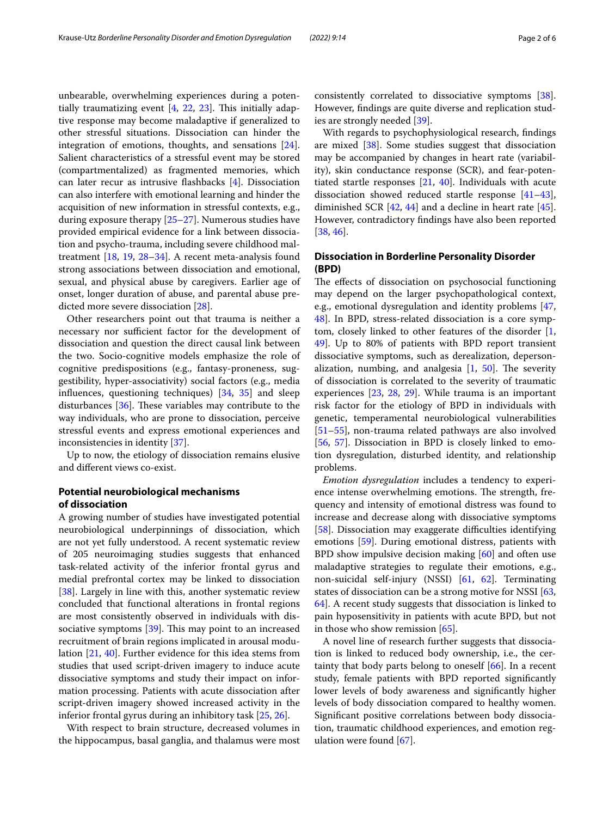unbearable, overwhelming experiences during a potentially traumatizing event  $[4, 22, 23]$  $[4, 22, 23]$  $[4, 22, 23]$  $[4, 22, 23]$  $[4, 22, 23]$ . This initially adaptive response may become maladaptive if generalized to other stressful situations. Dissociation can hinder the integration of emotions, thoughts, and sensations [\[24](#page-3-19)]. Salient characteristics of a stressful event may be stored (compartmentalized) as fragmented memories, which can later recur as intrusive fashbacks [\[4](#page-3-3)]. Dissociation can also interfere with emotional learning and hinder the acquisition of new information in stressful contexts, e.g., during exposure therapy [[25–](#page-3-20)[27\]](#page-3-21). Numerous studies have provided empirical evidence for a link between dissociation and psycho-trauma, including severe childhood maltreatment [[18](#page-3-22), [19,](#page-3-23) [28–](#page-3-24)[34\]](#page-4-0). A recent meta-analysis found strong associations between dissociation and emotional, sexual, and physical abuse by caregivers. Earlier age of onset, longer duration of abuse, and parental abuse predicted more severe dissociation [[28](#page-3-24)].

Other researchers point out that trauma is neither a necessary nor sufficient factor for the development of dissociation and question the direct causal link between the two. Socio-cognitive models emphasize the role of cognitive predispositions (e.g., fantasy-proneness, suggestibility, hyper-associativity) social factors (e.g., media infuences, questioning techniques) [[34](#page-4-0), [35](#page-4-1)] and sleep disturbances  $[36]$  $[36]$ . These variables may contribute to the way individuals, who are prone to dissociation, perceive stressful events and express emotional experiences and inconsistencies in identity [\[37\]](#page-4-3).

Up to now, the etiology of dissociation remains elusive and diferent views co-exist.

### **Potential neurobiological mechanisms of dissociation**

A growing number of studies have investigated potential neurobiological underpinnings of dissociation, which are not yet fully understood. A recent systematic review of 205 neuroimaging studies suggests that enhanced task-related activity of the inferior frontal gyrus and medial prefrontal cortex may be linked to dissociation [[38\]](#page-4-4). Largely in line with this, another systematic review concluded that functional alterations in frontal regions are most consistently observed in individuals with dissociative symptoms  $[39]$  $[39]$ . This may point to an increased recruitment of brain regions implicated in arousal modulation [\[21](#page-3-16), [40\]](#page-4-6). Further evidence for this idea stems from studies that used script-driven imagery to induce acute dissociative symptoms and study their impact on information processing. Patients with acute dissociation after script-driven imagery showed increased activity in the inferior frontal gyrus during an inhibitory task [\[25](#page-3-20), [26\]](#page-3-25).

With respect to brain structure, decreased volumes in the hippocampus, basal ganglia, and thalamus were most consistently correlated to dissociative symptoms [\[38](#page-4-4)]. However, fndings are quite diverse and replication studies are strongly needed [[39](#page-4-5)].

With regards to psychophysiological research, fndings are mixed [[38\]](#page-4-4). Some studies suggest that dissociation may be accompanied by changes in heart rate (variability), skin conductance response (SCR), and fear-potentiated startle responses  $[21, 40]$  $[21, 40]$  $[21, 40]$  $[21, 40]$ . Individuals with acute dissociation showed reduced startle response [[41](#page-4-7)[–43](#page-4-8)], diminished SCR [[42,](#page-4-9) [44](#page-4-10)] and a decline in heart rate [\[45](#page-4-11)]. However, contradictory fndings have also been reported [[38,](#page-4-4) [46](#page-4-12)].

### **Dissociation in Borderline Personality Disorder (BPD)**

The effects of dissociation on psychosocial functioning may depend on the larger psychopathological context, e.g., emotional dysregulation and identity problems [[47](#page-4-13), [48\]](#page-4-14). In BPD, stress-related dissociation is a core symptom, closely linked to other features of the disorder [\[1](#page-3-0), [49\]](#page-4-15). Up to 80% of patients with BPD report transient dissociative symptoms, such as derealization, depersonalization, numbing, and analgesia  $[1, 50]$  $[1, 50]$  $[1, 50]$ . The severity of dissociation is correlated to the severity of traumatic experiences [[23,](#page-3-18) [28,](#page-3-24) [29](#page-3-26)]. While trauma is an important risk factor for the etiology of BPD in individuals with genetic, temperamental neurobiological vulnerabilities [[51–](#page-4-17)[55\]](#page-4-18), non-trauma related pathways are also involved [[56,](#page-4-19) [57\]](#page-4-20). Dissociation in BPD is closely linked to emotion dysregulation, disturbed identity, and relationship problems.

*Emotion dysregulation* includes a tendency to experience intense overwhelming emotions. The strength, frequency and intensity of emotional distress was found to increase and decrease along with dissociative symptoms [[58\]](#page-4-21). Dissociation may exaggerate difficulties identifying emotions [[59\]](#page-4-22). During emotional distress, patients with BPD show impulsive decision making [\[60](#page-4-23)] and often use maladaptive strategies to regulate their emotions, e.g., non-suicidal self-injury (NSSI) [[61](#page-4-24), [62](#page-4-25)]. Terminating states of dissociation can be a strong motive for NSSI [[63](#page-4-26), [64\]](#page-4-27). A recent study suggests that dissociation is linked to pain hyposensitivity in patients with acute BPD, but not in those who show remission [\[65](#page-4-28)].

A novel line of research further suggests that dissociation is linked to reduced body ownership, i.e., the certainty that body parts belong to oneself [\[66\]](#page-4-29). In a recent study, female patients with BPD reported signifcantly lower levels of body awareness and signifcantly higher levels of body dissociation compared to healthy women. Signifcant positive correlations between body dissociation, traumatic childhood experiences, and emotion regulation were found [\[67](#page-4-30)].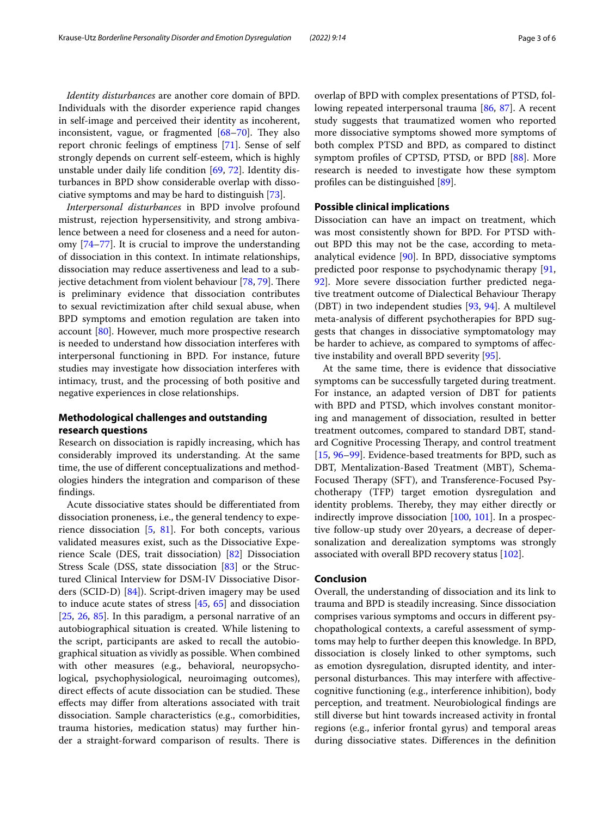*Identity disturbances* are another core domain of BPD. Individuals with the disorder experience rapid changes in self-image and perceived their identity as incoherent, inconsistent, vague, or fragmented  $[68-70]$  $[68-70]$  $[68-70]$ . They also report chronic feelings of emptiness [[71\]](#page-5-1). Sense of self strongly depends on current self-esteem, which is highly unstable under daily life condition [\[69,](#page-5-2) [72](#page-5-3)]. Identity disturbances in BPD show considerable overlap with dissociative symptoms and may be hard to distinguish [\[73](#page-5-4)].

*Interpersonal disturbances* in BPD involve profound mistrust, rejection hypersensitivity, and strong ambivalence between a need for closeness and a need for autonomy [[74–](#page-5-5)[77\]](#page-5-6). It is crucial to improve the understanding of dissociation in this context. In intimate relationships, dissociation may reduce assertiveness and lead to a subjective detachment from violent behaviour  $[78, 79]$  $[78, 79]$  $[78, 79]$  $[78, 79]$ . There is preliminary evidence that dissociation contributes to sexual revictimization after child sexual abuse, when BPD symptoms and emotion regulation are taken into account [\[80\]](#page-5-9). However, much more prospective research is needed to understand how dissociation interferes with interpersonal functioning in BPD. For instance, future studies may investigate how dissociation interferes with intimacy, trust, and the processing of both positive and negative experiences in close relationships.

### **Methodological challenges and outstanding research questions**

Research on dissociation is rapidly increasing, which has considerably improved its understanding. At the same time, the use of diferent conceptualizations and methodologies hinders the integration and comparison of these fndings.

Acute dissociative states should be diferentiated from dissociation proneness, i.e., the general tendency to experience dissociation  $[5, 81]$  $[5, 81]$  $[5, 81]$ . For both concepts, various validated measures exist, such as the Dissociative Experience Scale (DES, trait dissociation) [\[82\]](#page-5-11) Dissociation Stress Scale (DSS, state dissociation [\[83](#page-5-12)] or the Structured Clinical Interview for DSM-IV Dissociative Disorders (SCID-D) [\[84](#page-5-13)]). Script-driven imagery may be used to induce acute states of stress [\[45](#page-4-11), [65\]](#page-4-28) and dissociation [[25,](#page-3-20) [26,](#page-3-25) [85](#page-5-14)]. In this paradigm, a personal narrative of an autobiographical situation is created. While listening to the script, participants are asked to recall the autobiographical situation as vividly as possible. When combined with other measures (e.g., behavioral, neuropsychological, psychophysiological, neuroimaging outcomes), direct effects of acute dissociation can be studied. These efects may difer from alterations associated with trait dissociation. Sample characteristics (e.g., comorbidities, trauma histories, medication status) may further hinder a straight-forward comparison of results. There is overlap of BPD with complex presentations of PTSD, following repeated interpersonal trauma [\[86](#page-5-15), [87\]](#page-5-16). A recent study suggests that traumatized women who reported more dissociative symptoms showed more symptoms of both complex PTSD and BPD, as compared to distinct symptom profles of CPTSD, PTSD, or BPD [\[88](#page-5-17)]. More research is needed to investigate how these symptom profles can be distinguished [[89](#page-5-18)].

#### **Possible clinical implications**

Dissociation can have an impact on treatment, which was most consistently shown for BPD. For PTSD without BPD this may not be the case, according to metaanalytical evidence [[90\]](#page-5-19). In BPD, dissociative symptoms predicted poor response to psychodynamic therapy [[91](#page-5-20), [92\]](#page-5-21). More severe dissociation further predicted negative treatment outcome of Dialectical Behaviour Therapy (DBT) in two independent studies [[93,](#page-5-22) [94](#page-5-23)]. A multilevel meta-analysis of diferent psychotherapies for BPD suggests that changes in dissociative symptomatology may be harder to achieve, as compared to symptoms of afective instability and overall BPD severity [[95\]](#page-5-24).

At the same time, there is evidence that dissociative symptoms can be successfully targeted during treatment. For instance, an adapted version of DBT for patients with BPD and PTSD, which involves constant monitoring and management of dissociation, resulted in better treatment outcomes, compared to standard DBT, standard Cognitive Processing Therapy, and control treatment [[15,](#page-3-13) [96–](#page-5-25)[99](#page-5-26)]. Evidence-based treatments for BPD, such as DBT, Mentalization-Based Treatment (MBT), Schema-Focused Therapy (SFT), and Transference-Focused Psychotherapy (TFP) target emotion dysregulation and identity problems. Thereby, they may either directly or indirectly improve dissociation [\[100](#page-5-27), [101](#page-5-28)]. In a prospective follow-up study over 20years, a decrease of depersonalization and derealization symptoms was strongly associated with overall BPD recovery status [\[102](#page-5-29)].

#### **Conclusion**

Overall, the understanding of dissociation and its link to trauma and BPD is steadily increasing. Since dissociation comprises various symptoms and occurs in diferent psychopathological contexts, a careful assessment of symptoms may help to further deepen this knowledge. In BPD, dissociation is closely linked to other symptoms, such as emotion dysregulation, disrupted identity, and interpersonal disturbances. This may interfere with affectivecognitive functioning (e.g., interference inhibition), body perception, and treatment. Neurobiological fndings are still diverse but hint towards increased activity in frontal regions (e.g., inferior frontal gyrus) and temporal areas during dissociative states. Diferences in the defnition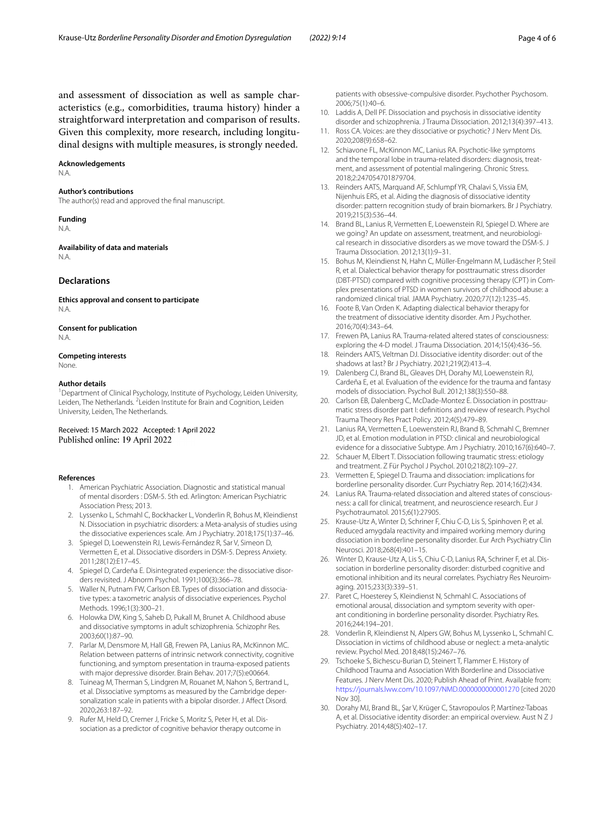and assessment of dissociation as well as sample characteristics (e.g., comorbidities, trauma history) hinder a straightforward interpretation and comparison of results. Given this complexity, more research, including longitudinal designs with multiple measures, is strongly needed.

#### **Acknowledgements**

N.A.

#### **Author's contributions**

The author(s) read and approved the fnal manuscript.

# **Funding**

N.A.

**Availability of data and materials** N.A.

#### **Declarations**

**Ethics approval and consent to participate** N.A.

## **Consent for publication**

N.A.

#### **Competing interests**

None.

#### **Author details**

<sup>1</sup> Department of Clinical Psychology, Institute of Psychology, Leiden University, Leiden, The Netherlands. <sup>2</sup> Leiden Institute for Brain and Cognition, Leiden University, Leiden, The Netherlands.

Received: 15 March 2022 Accepted: 1 April 2022

#### <span id="page-3-0"></span>**References**

- 1. American Psychiatric Association. Diagnostic and statistical manual of mental disorders : DSM-5. 5th ed. Arlington: American Psychiatric Association Press; 2013.
- <span id="page-3-1"></span>2. Lyssenko L, Schmahl C, Bockhacker L, Vonderlin R, Bohus M, Kleindienst N. Dissociation in psychiatric disorders: a Meta-analysis of studies using the dissociative experiences scale. Am J Psychiatry. 2018;175(1):37–46.
- <span id="page-3-2"></span>3. Spiegel D, Loewenstein RJ, Lewis-Fernández R, Sar V, Simeon D, Vermetten E, et al. Dissociative disorders in DSM-5. Depress Anxiety. 2011;28(12):E17–45.
- <span id="page-3-3"></span>4. Spiegel D, Cardeña E. Disintegrated experience: the dissociative disorders revisited. J Abnorm Psychol. 1991;100(3):366–78.
- <span id="page-3-4"></span>5. Waller N, Putnam FW, Carlson FB. Types of dissociation and dissociative types: a taxometric analysis of dissociative experiences. Psychol Methods. 1996;1(3):300–21.
- <span id="page-3-5"></span>6. Holowka DW, King S, Saheb D, Pukall M, Brunet A. Childhood abuse and dissociative symptoms in adult schizophrenia. Schizophr Res. 2003;60(1):87–90.
- <span id="page-3-6"></span>7. Parlar M, Densmore M, Hall GB, Frewen PA, Lanius RA, McKinnon MC. Relation between patterns of intrinsic network connectivity, cognitive functioning, and symptom presentation in trauma-exposed patients with major depressive disorder. Brain Behav. 2017;7(5):e00664.
- <span id="page-3-7"></span>8. Tuineag M, Therman S, Lindgren M, Rouanet M, Nahon S, Bertrand L, et al. Dissociative symptoms as measured by the Cambridge depersonalization scale in patients with a bipolar disorder. J Afect Disord. 2020;263:187–92.
- <span id="page-3-8"></span>9. Rufer M, Held D, Cremer J, Fricke S, Moritz S, Peter H, et al. Dissociation as a predictor of cognitive behavior therapy outcome in

patients with obsessive-compulsive disorder. Psychother Psychosom. 2006;75(1):40–6.

- <span id="page-3-9"></span>10. Laddis A, Dell PF. Dissociation and psychosis in dissociative identity disorder and schizophrenia. J Trauma Dissociation. 2012;13(4):397–413.
- 11. Ross CA. Voices: are they dissociative or psychotic? J Nerv Ment Dis. 2020;208(9):658–62.
- <span id="page-3-10"></span>12. Schiavone FL, McKinnon MC, Lanius RA. Psychotic-like symptoms and the temporal lobe in trauma-related disorders: diagnosis, treatment, and assessment of potential malingering. Chronic Stress. 2018;2:247054701879704.
- <span id="page-3-11"></span>13. Reinders AATS, Marquand AF, Schlumpf YR, Chalavi S, Vissia EM, Nijenhuis ERS, et al. Aiding the diagnosis of dissociative identity disorder: pattern recognition study of brain biomarkers. Br J Psychiatry. 2019;215(3):536–44.
- <span id="page-3-12"></span>14. Brand BL, Lanius R, Vermetten E, Loewenstein RJ, Spiegel D. Where are we going? An update on assessment, treatment, and neurobiological research in dissociative disorders as we move toward the DSM-5. J Trauma Dissociation. 2012;13(1):9–31.
- <span id="page-3-13"></span>15. Bohus M, Kleindienst N, Hahn C, Müller-Engelmann M, Ludäscher P, Steil R, et al. Dialectical behavior therapy for posttraumatic stress disorder (DBT-PTSD) compared with cognitive processing therapy (CPT) in Com‑ plex presentations of PTSD in women survivors of childhood abuse: a randomized clinical trial. JAMA Psychiatry. 2020;77(12):1235–45.
- <span id="page-3-14"></span>16. Foote B, Van Orden K. Adapting dialectical behavior therapy for the treatment of dissociative identity disorder. Am J Psychother. 2016;70(4):343–64.
- <span id="page-3-15"></span>17. Frewen PA, Lanius RA. Trauma-related altered states of consciousness: exploring the 4-D model. J Trauma Dissociation. 2014;15(4):436–56.
- <span id="page-3-22"></span>18. Reinders AATS, Veltman DJ. Dissociative identity disorder: out of the shadows at last? Br J Psychiatry. 2021;219(2):413–4.
- <span id="page-3-23"></span>19. Dalenberg CJ, Brand BL, Gleaves DH, Dorahy MJ, Loewenstein RJ, Cardeña E, et al. Evaluation of the evidence for the trauma and fantasy models of dissociation. Psychol Bull. 2012;138(3):550–88.
- 20. Carlson EB, Dalenberg C, McDade-Montez E. Dissociation in posttraumatic stress disorder part I: defnitions and review of research. Psychol Trauma Theory Res Pract Policy. 2012;4(5):479–89.
- <span id="page-3-16"></span>21. Lanius RA, Vermetten E, Loewenstein RJ, Brand B, Schmahl C, Bremner JD, et al. Emotion modulation in PTSD: clinical and neurobiological evidence for a dissociative Subtype. Am J Psychiatry. 2010;167(6):640–7.
- <span id="page-3-17"></span>22. Schauer M, Elbert T. Dissociation following traumatic stress: etiology and treatment. Z Für Psychol J Psychol. 2010;218(2):109–27.
- <span id="page-3-18"></span>23. Vermetten E, Spiegel D. Trauma and dissociation: implications for borderline personality disorder. Curr Psychiatry Rep. 2014;16(2):434.
- <span id="page-3-19"></span>24. Lanius RA. Trauma-related dissociation and altered states of consciousness: a call for clinical, treatment, and neuroscience research. Eur J Psychotraumatol. 2015;6(1):27905.
- <span id="page-3-20"></span>25. Krause-Utz A, Winter D, Schriner F, Chiu C-D, Lis S, Spinhoven P, et al. Reduced amygdala reactivity and impaired working memory during dissociation in borderline personality disorder. Eur Arch Psychiatry Clin Neurosci. 2018;268(4):401–15.
- <span id="page-3-25"></span>26. Winter D, Krause-Utz A, Lis S, Chiu C-D, Lanius RA, Schriner F, et al. Dissociation in borderline personality disorder: disturbed cognitive and emotional inhibition and its neural correlates. Psychiatry Res Neuroimaging. 2015;233(3):339–51.
- <span id="page-3-21"></span>27. Paret C, Hoesterey S, Kleindienst N, Schmahl C. Associations of emotional arousal, dissociation and symptom severity with operant conditioning in borderline personality disorder. Psychiatry Res. 2016;244:194–201.
- <span id="page-3-24"></span>28. Vonderlin R, Kleindienst N, Alpers GW, Bohus M, Lyssenko L, Schmahl C. Dissociation in victims of childhood abuse or neglect: a meta-analytic review. Psychol Med. 2018;48(15):2467–76.
- <span id="page-3-26"></span>29. Tschoeke S, Bichescu-Burian D, Steinert T, Flammer E. History of Childhood Trauma and Association With Borderline and Dissociative Features. J Nerv Ment Dis. 2020; Publish Ahead of Print. Available from: [https://journals.lww.com/10.1097/NMD.0000000000001270](http://dx.doi.org/10.1097/NMD.0000000000001270) [cited 2020 Nov 30].
- 30. Dorahy MJ, Brand BL, Şar V, Krüger C, Stavropoulos P, Martínez-Taboas A, et al. Dissociative identity disorder: an empirical overview. Aust N Z J Psychiatry. 2014;48(5):402–17.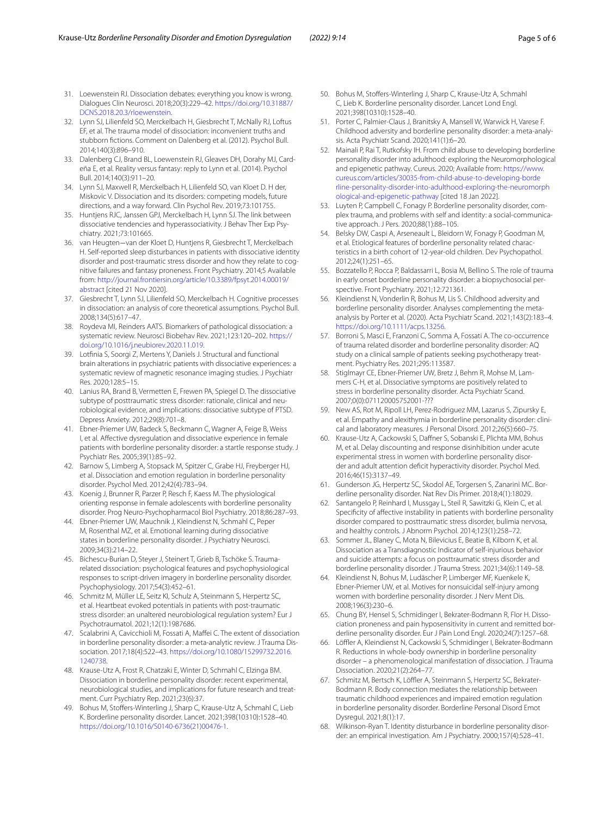- 31. Loewenstein RJ. Dissociation debates: everything you know is wrong. Dialogues Clin Neurosci. 2018;20(3):229–42. [https://doi.org/10.31887/](https://doi.org/10.31887/DCNS.2018.20.3/rloewenstein) [DCNS.2018.20.3/rloewenstein.](https://doi.org/10.31887/DCNS.2018.20.3/rloewenstein)
- 32. Lynn SJ, Lilienfeld SO, Merckelbach H, Giesbrecht T, McNally RJ, Loftus EF, et al. The trauma model of dissociation: inconvenient truths and stubborn fctions. Comment on Dalenberg et al. (2012). Psychol Bull. 2014;140(3):896–910.
- 33. Dalenberg CJ, Brand BL, Loewenstein RJ, Gleaves DH, Dorahy MJ, Cardeña E, et al. Reality versus fantasy: reply to Lynn et al. (2014). Psychol Bull. 2014;140(3):911–20.
- <span id="page-4-0"></span>34. Lynn SJ, Maxwell R, Merckelbach H, Lilienfeld SO, van Kloet D. H der, Miskovic V. Dissociation and its disorders: competing models, future directions, and a way forward. Clin Psychol Rev. 2019;73:101755.
- <span id="page-4-1"></span>35. Huntjens RJC, Janssen GPJ, Merckelbach H, Lynn SJ. The link between dissociative tendencies and hyperassociativity. J Behav Ther Exp Psychiatry. 2021;73:101665.
- <span id="page-4-2"></span>36. van Heugten−van der Kloet D, Huntjens R, Giesbrecht T, Merckelbach H. Self-reported sleep disturbances in patients with dissociative identity disorder and post-traumatic stress disorder and how they relate to cognitive failures and fantasy proneness. Front Psychiatry. 2014;5 Available from: [http://journal.frontiersin.org/article/10.3389/fpsyt.2014.00019/](http://dx.doi.org/10.3389/fpsyt.2014.00019/abstract) [abstract](http://dx.doi.org/10.3389/fpsyt.2014.00019/abstract) [cited 21 Nov 2020].
- <span id="page-4-3"></span>37. Giesbrecht T, Lynn SJ, Lilienfeld SO, Merckelbach H. Cognitive processes in dissociation: an analysis of core theoretical assumptions. Psychol Bull. 2008;134(5):617–47.
- <span id="page-4-4"></span>Roydeva MI, Reinders AATS. Biomarkers of pathological dissociation: a systematic review. Neurosci Biobehav Rev. 2021;123:120–202. [https://](https://doi.org/10.1016/j.neubiorev.2020.11.019) [doi.org/10.1016/j.neubiorev.2020.11.019.](https://doi.org/10.1016/j.neubiorev.2020.11.019)
- <span id="page-4-5"></span>39. Lotfnia S, Soorgi Z, Mertens Y, Daniels J. Structural and functional brain alterations in psychiatric patients with dissociative experiences: a systematic review of magnetic resonance imaging studies. J Psychiatr Res. 2020;128:5–15.
- <span id="page-4-6"></span>40. Lanius RA, Brand B, Vermetten E, Frewen PA, Spiegel D. The dissociative subtype of posttraumatic stress disorder: rationale, clinical and neurobiological evidence, and implications: dissociative subtype of PTSD. Depress Anxiety. 2012;29(8):701–8.
- <span id="page-4-7"></span>41. Ebner-Priemer UW, Badeck S, Beckmann C, Wagner A, Feige B, Weiss I, et al. Afective dysregulation and dissociative experience in female patients with borderline personality disorder: a startle response study. J Psychiatr Res. 2005;39(1):85–92.
- <span id="page-4-9"></span>42. Barnow S, Limberg A, Stopsack M, Spitzer C, Grabe HJ, Freyberger HJ, et al. Dissociation and emotion regulation in borderline personality disorder. Psychol Med. 2012;42(4):783–94.
- <span id="page-4-8"></span>43. Koenig J, Brunner R, Parzer P, Resch F, Kaess M. The physiological orienting response in female adolescents with borderline personality disorder. Prog Neuro-Psychopharmacol Biol Psychiatry. 2018;86:287–93.
- <span id="page-4-10"></span>44. Ebner-Priemer UW, Mauchnik J, Kleindienst N, Schmahl C, Peper M, Rosenthal MZ, et al. Emotional learning during dissociative states in borderline personality disorder. J Psychiatry Neurosci. 2009;34(3):214–22.
- <span id="page-4-11"></span>45. Bichescu-Burian D, Steyer J, Steinert T, Grieb B, Tschöke S. Traumarelated dissociation: psychological features and psychophysiological responses to script-driven imagery in borderline personality disorder. Psychophysiology. 2017;54(3):452–61.
- <span id="page-4-12"></span>46. Schmitz M, Müller LE, Seitz KI, Schulz A, Steinmann S, Herpertz SC, et al. Heartbeat evoked potentials in patients with post-traumatic stress disorder: an unaltered neurobiological regulation system? Eur J Psychotraumatol. 2021;12(1):1987686.
- <span id="page-4-13"></span>47. Scalabrini A, Cavicchioli M, Fossati A, Mafei C. The extent of dissociation in borderline personality disorder: a meta-analytic review. J Trauma Dissociation. 2017;18(4):522–43. [https://doi.org/10.1080/15299732.2016.](https://doi.org/10.1080/15299732.2016.1240738) [1240738.](https://doi.org/10.1080/15299732.2016.1240738)
- <span id="page-4-14"></span>48. Krause-Utz A, Frost R, Chatzaki E, Winter D, Schmahl C, Elzinga BM. Dissociation in borderline personality disorder: recent experimental, neurobiological studies, and implications for future research and treatment. Curr Psychiatry Rep. 2021;23(6):37.
- <span id="page-4-15"></span>49. Bohus M, Stoffers-Winterling J, Sharp C, Krause-Utz A, Schmahl C, Lieb K. Borderline personality disorder. Lancet. 2021;398(10310):1528–40. [https://doi.org/10.1016/S0140-6736\(21\)00476-1.](https://doi.org/10.1016/S0140-6736(21)00476-1)
- <span id="page-4-16"></span>50. Bohus M, Stofers-Winterling J, Sharp C, Krause-Utz A, Schmahl C, Lieb K. Borderline personality disorder. Lancet Lond Engl. 2021;398(10310):1528–40.
- <span id="page-4-17"></span>51. Porter C, Palmier-Claus J, Branitsky A, Mansell W, Warwick H, Varese F. Childhood adversity and borderline personality disorder: a meta-analy‑ sis. Acta Psychiatr Scand. 2020;141(1):6–20.
- 52. Mainali P, Rai T, Rutkofsky IH. From child abuse to developing borderline personality disorder into adulthood: exploring the Neuromorphological and epigenetic pathway. Cureus. 2020; Available from: [https://www.](https://www.cureus.com/articles/30035-from-child-abuse-to-developing-borderline-personality-disorder-into-adulthood-exploring-the-neuromorphological-and-epigenetic-pathway) [cureus.com/articles/30035-from-child-abuse-to-developing-borde](https://www.cureus.com/articles/30035-from-child-abuse-to-developing-borderline-personality-disorder-into-adulthood-exploring-the-neuromorphological-and-epigenetic-pathway) [rline-personality-disorder-into-adulthood-exploring-the-neuromorph](https://www.cureus.com/articles/30035-from-child-abuse-to-developing-borderline-personality-disorder-into-adulthood-exploring-the-neuromorphological-and-epigenetic-pathway) [ological-and-epigenetic-pathway](https://www.cureus.com/articles/30035-from-child-abuse-to-developing-borderline-personality-disorder-into-adulthood-exploring-the-neuromorphological-and-epigenetic-pathway) [cited 18 Jan 2022].
- 53. Luyten P, Campbell C, Fonagy P. Borderline personality disorder, complex trauma, and problems with self and identity: a social-communicative approach. J Pers. 2020;88(1):88–105.
- 54. Belsky DW, Caspi A, Arseneault L, Bleidorn W, Fonagy P, Goodman M, et al. Etiological features of borderline personality related characteristics in a birth cohort of 12-year-old children. Dev Psychopathol. 2012;24(1):251–65.
- <span id="page-4-18"></span>55. Bozzatello P, Rocca P, Baldassarri L, Bosia M, Bellino S. The role of trauma in early onset borderline personality disorder: a biopsychosocial perspective. Front Psychiatry. 2021;12:721361.
- <span id="page-4-19"></span>56. Kleindienst N, Vonderlin R, Bohus M, Lis S. Childhood adversity and borderline personality disorder. Analyses complementing the metaanalysis by Porter et al. (2020). Acta Psychiatr Scand. 2021;143(2):183–4. <https://doi.org/10.1111/acps.13256>.
- <span id="page-4-20"></span>57. Borroni S, Masci E, Franzoni C, Somma A, Fossati A. The co-occurrence of trauma related disorder and borderline personality disorder: AQ study on a clinical sample of patients seeking psychotherapy treatment. Psychiatry Res. 2021;295:113587.
- <span id="page-4-21"></span>58. Stiglmayr CE, Ebner-Priemer UW, Bretz J, Behm R, Mohse M, Lammers C-H, et al. Dissociative symptoms are positively related to stress in borderline personality disorder. Acta Psychiatr Scand. 2007;0(0):071120005752001-???
- <span id="page-4-22"></span>59. New AS, Rot M, Ripoll LH, Perez-Rodriguez MM, Lazarus S, Zipursky E, et al. Empathy and alexithymia in borderline personality disorder: clinical and laboratory measures. J Personal Disord. 2012;26(5):660–75.
- <span id="page-4-23"></span>60. Krause-Utz A, Cackowski S, Dafner S, Sobanski E, Plichta MM, Bohus M, et al. Delay discounting and response disinhibition under acute experimental stress in women with borderline personality disorder and adult attention defcit hyperactivity disorder. Psychol Med. 2016;46(15):3137–49.
- <span id="page-4-24"></span>61. Gunderson JG, Herpertz SC, Skodol AE, Torgersen S, Zanarini MC. Borderline personality disorder. Nat Rev Dis Primer. 2018;4(1):18029.
- <span id="page-4-25"></span>62. Santangelo P, Reinhard I, Mussgay L, Steil R, Sawitzki G, Klein C, et al. Specifcity of afective instability in patients with borderline personality disorder compared to posttraumatic stress disorder, bulimia nervosa, and healthy controls. J Abnorm Psychol. 2014;123(1):258–72.
- <span id="page-4-26"></span>63. Sommer JL, Blaney C, Mota N, Bilevicius E, Beatie B, Kilborn K, et al. Dissociation as a Transdiagnostic Indicator of self-injurious behavior and suicide attempts: a focus on posttraumatic stress disorder and borderline personality disorder. J Trauma Stress. 2021;34(6):1149–58.
- <span id="page-4-27"></span>64. Kleindienst N, Bohus M, Ludäscher P, Limberger MF, Kuenkele K, Ebner-Priemer UW, et al. Motives for nonsuicidal self-injury among women with borderline personality disorder. J Nerv Ment Dis. 2008;196(3):230–6.
- <span id="page-4-28"></span>65. Chung BY, Hensel S, Schmidinger I, Bekrater-Bodmann R, Flor H. Dissociation proneness and pain hyposensitivity in current and remitted borderline personality disorder. Eur J Pain Lond Engl. 2020;24(7):1257–68.
- <span id="page-4-29"></span>66. Löffler A, Kleindienst N, Cackowski S, Schmidinger I, Bekrater-Bodmann R. Reductions in whole-body ownership in borderline personality disorder – a phenomenological manifestation of dissociation. J Trauma Dissociation. 2020;21(2):264–77.
- <span id="page-4-30"></span>67. Schmitz M, Bertsch K, Löffler A, Steinmann S, Herpertz SC, Bekrater-Bodmann R. Body connection mediates the relationship between traumatic childhood experiences and impaired emotion regulation in borderline personality disorder. Borderline Personal Disord Emot Dysregul. 2021;8(1):17.
- <span id="page-4-31"></span>68. Wilkinson-Ryan T. Identity disturbance in borderline personality disorder: an empirical investigation. Am J Psychiatry. 2000;157(4):528–41.